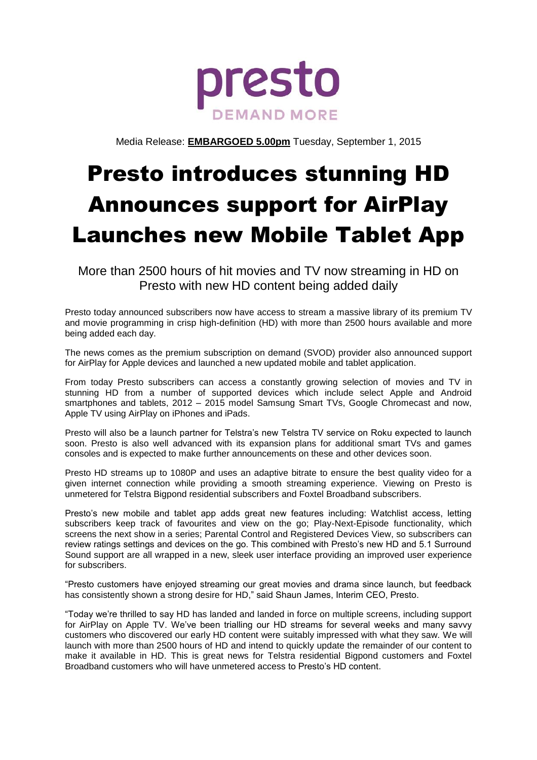

Media Release: **EMBARGOED 5.00pm** Tuesday, September 1, 2015

# Presto introduces stunning HD Announces support for AirPlay Launches new Mobile Tablet App

More than 2500 hours of hit movies and TV now streaming in HD on Presto with new HD content being added daily

Presto today announced subscribers now have access to stream a massive library of its premium TV and movie programming in crisp high-definition (HD) with more than 2500 hours available and more being added each day.

The news comes as the premium subscription on demand (SVOD) provider also announced support for AirPlay for Apple devices and launched a new updated mobile and tablet application.

From today Presto subscribers can access a constantly growing selection of movies and TV in stunning HD from a number of supported devices which include select Apple and Android smartphones and tablets, 2012 – 2015 model Samsung Smart TVs, Google Chromecast and now, Apple TV using AirPlay on iPhones and iPads.

Presto will also be a launch partner for Telstra's new Telstra TV service on Roku expected to launch soon. Presto is also well advanced with its expansion plans for additional smart TVs and games consoles and is expected to make further announcements on these and other devices soon.

Presto HD streams up to 1080P and uses an adaptive bitrate to ensure the best quality video for a given internet connection while providing a smooth streaming experience. Viewing on Presto is unmetered for Telstra Bigpond residential subscribers and Foxtel Broadband subscribers.

Presto's new mobile and tablet app adds great new features including: Watchlist access, letting subscribers keep track of favourites and view on the go; Play-Next-Episode functionality, which screens the next show in a series; Parental Control and Registered Devices View, so subscribers can review ratings settings and devices on the go. This combined with Presto's new HD and 5.1 Surround Sound support are all wrapped in a new, sleek user interface providing an improved user experience for subscribers.

"Presto customers have enjoyed streaming our great movies and drama since launch, but feedback has consistently shown a strong desire for HD," said Shaun James, Interim CEO, Presto.

"Today we're thrilled to say HD has landed and landed in force on multiple screens, including support for AirPlay on Apple TV. We've been trialling our HD streams for several weeks and many savvy customers who discovered our early HD content were suitably impressed with what they saw. We will launch with more than 2500 hours of HD and intend to quickly update the remainder of our content to make it available in HD. This is great news for Telstra residential Bigpond customers and Foxtel Broadband customers who will have unmetered access to Presto's HD content.